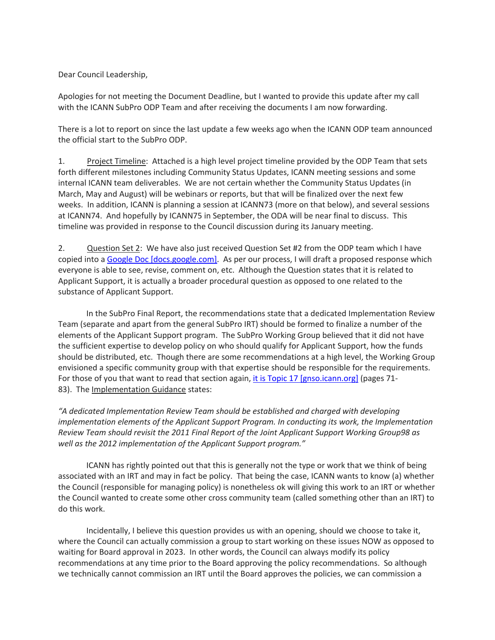Dear Council Leadership,

Apologies for not meeting the Document Deadline, but I wanted to provide this update after my call with the ICANN SubPro ODP Team and after receiving the documents I am now forwarding.

There is a lot to report on since the last update a few weeks ago when the ICANN ODP team announced the official start to the SubPro ODP.

1. Project Timeline: Attached is a high level project timeline provided by the ODP Team that sets forth different milestones including Community Status Updates, ICANN meeting sessions and some internal ICANN team deliverables. We are not certain whether the Community Status Updates (in March, May and August) will be webinars or reports, but that will be finalized over the next few weeks. In addition, ICANN is planning a session at ICANN73 (more on that below), and several sessions at ICANN74. And hopefully by ICANN75 in September, the ODA will be near final to discuss. This timeline was provided in response to the Council discussion during its January meeting.

2. Question Set 2: We have also just received Question Set #2 from the ODP team which I have copied into a Google Doc [docs.google.com]. As per our process, I will draft a proposed response which everyone is able to see, revise, comment on, etc. Although the Question states that it is related to Applicant Support, it is actually a broader procedural question as opposed to one related to the substance of Applicant Support.

 In the SubPro Final Report, the recommendations state that a dedicated Implementation Review Team (separate and apart from the general SubPro IRT) should be formed to finalize a number of the elements of the Applicant Support program. The SubPro Working Group believed that it did not have the sufficient expertise to develop policy on who should qualify for Applicant Support, how the funds should be distributed, etc. Though there are some recommendations at a high level, the Working Group envisioned a specific community group with that expertise should be responsible for the requirements. For those of you that want to read that section again, it is Topic 17 [gnso.icann.org] (pages 71-83). The Implementation Guidance states:

*"A dedicated Implementation Review Team should be established and charged with developing implementation elements of the Applicant Support Program. In conducting its work, the Implementation Review Team should revisit the 2011 Final Report of the Joint Applicant Support Working Group98 as well as the 2012 implementation of the Applicant Support program."*

 ICANN has rightly pointed out that this is generally not the type or work that we think of being associated with an IRT and may in fact be policy. That being the case, ICANN wants to know (a) whether the Council (responsible for managing policy) is nonetheless ok will giving this work to an IRT or whether the Council wanted to create some other cross community team (called something other than an IRT) to do this work.

 Incidentally, I believe this question provides us with an opening, should we choose to take it, where the Council can actually commission a group to start working on these issues NOW as opposed to waiting for Board approval in 2023. In other words, the Council can always modify its policy recommendations at any time prior to the Board approving the policy recommendations. So although we technically cannot commission an IRT until the Board approves the policies, we can commission a